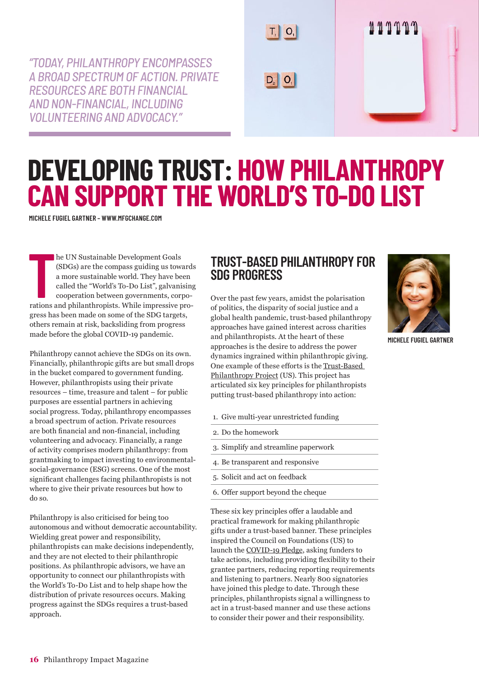*"TODAY, PHILANTHROPY ENCOMPASSES A BROAD SPECTRUM OF ACTION. PRIVATE RESOURCES ARE BOTH FINANCIAL AND NON-FINANCIAL, INCLUDING VOLUNTEERING AND ADVOCACY."*



## **DEVELOPING TRUST: HOW PHILANTHROPY CAN SUPPORT THE WORLD'S TO-DO LIST**

**MICHELE FUGIEL GARTNER – [WWW.MFGCHANGE.COM](http://www.mfgchange.com)**

**THEREN SUS SET AND THE PRONOUNT A THEREN SIDE SIDE AND THE SURFERING A more sustainable world. They have been called the "World's To-Do List", galvanising cooperation between governments, corporations and philanthropists.** he UN Sustainable Development Goals (SDGs) are the compass guiding us towards a more sustainable world. They have been called the "World's To-Do List", galvanising cooperation between governments, corpogress has been made on some of the SDG targets, others remain at risk, backsliding from progress made before the global COVID-19 pandemic.

Philanthropy cannot achieve the SDGs on its own. Financially, philanthropic gifts are but small drops in the bucket compared to government funding. However, philanthropists using their private resources – time, treasure and talent – for public purposes are essential partners in achieving social progress. Today, philanthropy encompasses a broad spectrum of action. Private resources are both financial and non-financial, including volunteering and advocacy. Financially, a range of activity comprises modern philanthropy: from grantmaking to impact investing to environmentalsocial-governance (ESG) screens. One of the most significant challenges facing philanthropists is not where to give their private resources but how to do so.

Philanthropy is also criticised for being too autonomous and without democratic accountability. Wielding great power and responsibility, philanthropists can make decisions independently, and they are not elected to their philanthropic positions. As philanthropic advisors, we have an opportunity to connect our philanthropists with the World's To-Do List and to help shape how the distribution of private resources occurs. Making progress against the SDGs requires a trust-based approach.

## **TRUST-BASED PHILANTHROPY FOR SDG PROGRESS**

 $T, |O,|$ 

 $D_2$   $O_1$ 

Over the past few years, amidst the polarisation of politics, the disparity of social justice and a global health pandemic, trust-based philanthropy approaches have gained interest across charities and philanthropists. At the heart of these approaches is the desire to address the power dynamics ingrained within philanthropic giving. One example of these efforts is the [Trust-Based](https://trustbasedphilanthropy.org/)  [Philanthropy Project](https://trustbasedphilanthropy.org/) (US). This project has articulated six key principles for philanthropists putting trust-based philanthropy into action:

- 1. Give multi-year unrestricted funding
- 2. Do the homework
- 3. Simplify and streamline paperwork
- 4. Be transparent and responsive
- 5. Solicit and act on feedback
- 6. Offer support beyond the cheque

These six key principles offer a laudable and practical framework for making philanthropic gifts under a trust-based banner. These principles inspired the Council on Foundations (US) to launch the [COVID-19 Pledge](https://www.cof.org/news/call-action-philanthropys-commitment-during-covid-19), asking funders to take actions, including providing flexibility to their grantee partners, reducing reporting requirements and listening to partners. Nearly 800 signatories have joined this pledge to date. Through these principles, philanthropists signal a willingness to act in a trust-based manner and use these actions to consider their power and their responsibility.



**MICHELE FUGIEL GARTNER**